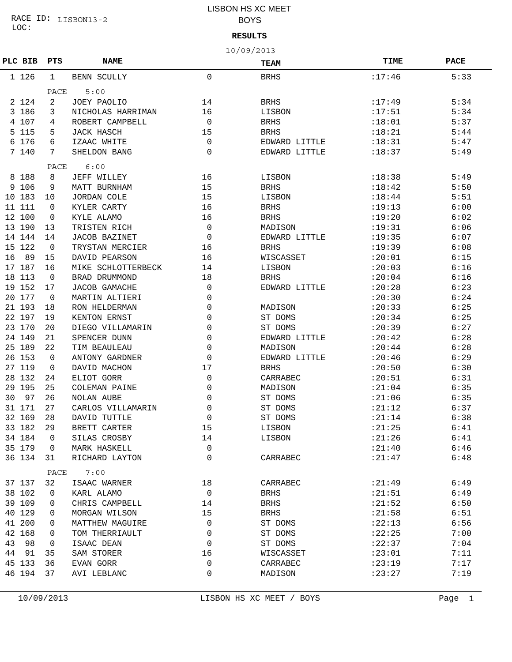LOC: RACE ID: LISBON13-2

## LISBON HS XC MEET BOYS

### **RESULTS**

10/09/2013

|         |     |             |                      |              | エロノ ロンノ ムロエン  |             |             |
|---------|-----|-------------|----------------------|--------------|---------------|-------------|-------------|
| PLC BIB |     | PTS         | <b>NAME</b>          |              | <b>TEAM</b>   | <b>TIME</b> | <b>PACE</b> |
| 1 1 2 6 |     | $\mathbf 1$ | BENN SCULLY          | $\mathbf{0}$ | <b>BRHS</b>   | : 17:46     | 5:33        |
|         |     | PACE        | 5:00                 |              |               |             |             |
| 2 1 2 4 |     | 2           | JOEY PAOLIO          | 14           | <b>BRHS</b>   | :17:49      | 5:34        |
| 3 186   |     | 3           | NICHOLAS HARRIMAN    | 16           | LISBON        | :17:51      | 5:34        |
| 4 107   |     | 4           | ROBERT CAMPBELL      | $\mathbf 0$  | <b>BRHS</b>   | :18:01      | 5:37        |
| 5 1 1 5 |     | 5           | JACK HASCH           | 15           | <b>BRHS</b>   | :18:21      | 5:44        |
| 6       | 176 | 6           | IZAAC WHITE          | $\mathbf 0$  | EDWARD LITTLE | :18:31      | 5:47        |
| 7 140   |     | 7           | SHELDON BANG         | $\mathbf{0}$ | EDWARD LITTLE | :18:37      | 5:49        |
|         |     | PACE        | 6:00                 |              |               |             |             |
| 8 188   |     | 8           | JEFF WILLEY          | 16           | LISBON        | :18:38      | 5:49        |
| 9 106   |     | 9           | MATT BURNHAM         | 15           | <b>BRHS</b>   | :18:42      | 5:50        |
| 10      | 183 | 10          | <b>JORDAN COLE</b>   | 15           | LISBON        | : 18:44     | 5:51        |
| 11      | 111 | $\Omega$    | KYLER CARTY          | 16           | <b>BRHS</b>   | :19:13      | 6:00        |
| 12 100  |     | 0           | KYLE ALAMO           | 16           | <b>BRHS</b>   | :19:20      | 6:02        |
| 13 190  |     | 13          | TRISTEN RICH         | $\mathbf 0$  | MADISON       | :19:31      | 6:06        |
| 14 144  |     | 14          | <b>JACOB BAZINET</b> | $\mathbf 0$  | EDWARD LITTLE | :19:35      | 6:07        |
| 15 122  |     | $\mathbf 0$ | TRYSTAN MERCIER      | 16           | <b>BRHS</b>   | :19:39      | 6:08        |
| 16      | 89  | 15          | DAVID PEARSON        | 16           | WISCASSET     | : 20:01     | 6:15        |
| 17 187  |     | 16          | MIKE SCHLOTTERBECK   | 14           | LISBON        | : 20:03     | 6:16        |
| 18      | 113 | $\mathbf 0$ | BRAD DRUMMOND        | 18           | <b>BRHS</b>   | : 20:04     | 6:16        |
| 19 152  |     | 17          | <b>JACOB GAMACHE</b> | $\mathbf 0$  | EDWARD LITTLE | : 20:28     | 6:23        |
| 20 177  |     | $\mathbf 0$ | MARTIN ALTIERI       | $\mathbf{0}$ |               | : 20:30     | 6:24        |
| 21 193  |     | 18          | RON HELDERMAN        | 0            | MADISON       | : 20:33     | 6:25        |
| 22 197  |     | 19          | KENTON ERNST         | 0            | ST DOMS       | : 20:34     | 6:25        |
| 23 170  |     | 20          | DIEGO VILLAMARIN     | 0            | ST DOMS       | : 20:39     | 6:27        |
| 24 149  |     | 21          | SPENCER DUNN         | 0            | EDWARD LITTLE | : 20:42     | 6:28        |
| 25 189  |     | 22          | TIM BEAULEAU         | 0            | MADISON       | : 20:44     | 6:28        |
| 26 153  |     | $\mathbf 0$ | ANTONY GARDNER       | $\mathbf{0}$ | EDWARD LITTLE | : 20:46     | 6:29        |
| 27 119  |     | 0           | DAVID MACHON         | 17           | <b>BRHS</b>   | : 20:50     | 6:30        |
| 28 132  |     | 24          | ELIOT GORR           | $\mathbf 0$  | CARRABEC      | : 20:51     | 6:31        |
| 29 195  |     | 25          | COLEMAN PAINE        | $\mathbf{0}$ | MADISON       | : 21:04     | 6:35        |
| 30      | 97  | 26          | NOLAN AUBE           | $\mathbf{0}$ | ST DOMS       | : 21:06     | 6:35        |
| 31 171  |     | 27          | CARLOS VILLAMARIN    | 0            | ST DOMS       | : 21:12     | 6:37        |
| 32 169  |     | 28          | DAVID TUTTLE         | 0            | ST DOMS       | : 21:14     | 6:38        |
| 33 182  |     | 29          | BRETT CARTER         | 15           | LISBON        | : 21:25     | 6:41        |
| 34 184  |     | 0           | SILAS CROSBY         | 14           | LISBON        | : 21:26     | 6:41        |
| 35 179  |     | 0           | MARK HASKELL         | $\mathbf 0$  |               | : 21:40     | 6:46        |
| 36 134  |     | 31          | RICHARD LAYTON       | 0            | CARRABEC      | : 21:47     | 6:48        |
|         |     | PACE        | 7:00                 |              |               |             |             |
| 37 137  |     | 32          | ISAAC WARNER         | 18           | CARRABEC      | : 21:49     | 6:49        |
| 38 102  |     | 0           | KARL ALAMO           | $\mathbf 0$  | <b>BRHS</b>   | : 21:51     | 6:49        |
| 39 109  |     | 0           | CHRIS CAMPBELL       | 14           | <b>BRHS</b>   | : 21:52     | 6:50        |
| 40 129  |     | 0           | MORGAN WILSON        | 15           | <b>BRHS</b>   | : 21:58     | 6:51        |
| 41 200  |     | 0           | MATTHEW MAGUIRE      | 0            | ST DOMS       | : 22:13     | 6:56        |
| 42      | 168 | 0           | TOM THERRIAULT       | 0            | ST DOMS       | : 22:25     | 7:00        |
| 43      | 98  | 0           | ISAAC DEAN           | 0            | ST DOMS       | : 22:37     | 7:04        |
| 44      | 91  | 35          | SAM STORER           | 16           | WISCASSET     | : 23:01     | 7:11        |
| 45 133  |     | 36          | EVAN GORR            | $\mathbf 0$  | CARRABEC      | : 23:19     | 7:17        |
| 46 194  |     | 37          | AVI LEBLANC          | 0            | MADISON       | : 23: 27    | 7:19        |
|         |     |             |                      |              |               |             |             |

10/09/2013 LISBON HS XC MEET / BOYS Page 1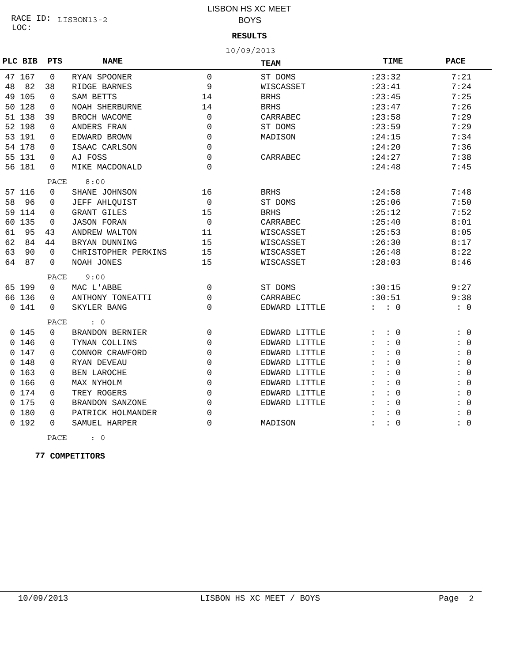## LISBON HS XC MEET BOYS

### **RESULTS**

10/09/2013

|          | PLC BIB | PTS      | <b>NAME</b>            |             | TEAM          | TIME                               | <b>PACE</b>                            |
|----------|---------|----------|------------------------|-------------|---------------|------------------------------------|----------------------------------------|
|          | 47 167  | 0        | RYAN SPOONER           | $\Omega$    | ST DOMS       | : 23:32                            | 7:21                                   |
| 48       | 82      | 38       | RIDGE BARNES           | 9           | WISCASSET     | : 23:41                            | 7:24                                   |
|          | 49 105  | $\Omega$ | SAM BETTS              | 14          | <b>BRHS</b>   | : 23:45                            | 7:25                                   |
|          | 50 128  | $\Omega$ | <b>NOAH SHERBURNE</b>  | 14          | <b>BRHS</b>   | : 23:47                            | 7:26                                   |
|          | 51 138  | 39       | BROCH WACOME           | $\Omega$    | CARRABEC      | : 23:58                            | 7:29                                   |
|          | 52 198  | $\Omega$ | ANDERS FRAN            | $\Omega$    | ST DOMS       | : 23:59                            | 7:29                                   |
|          | 53 191  | $\Omega$ | EDWARD BROWN           | $\Omega$    | MADISON       | : 24:15                            | 7:34                                   |
|          | 54 178  | $\Omega$ | ISAAC CARLSON          | $\Omega$    |               | : 24:20                            | 7:36                                   |
|          | 55 131  | $\Omega$ | AJ FOSS                | $\Omega$    | CARRABEC      | : 24:27                            | 7:38                                   |
|          | 56 181  | $\Omega$ | MIKE MACDONALD         | $\Omega$    |               | : 24:48                            | 7:45                                   |
|          |         | PACE     | 8:00                   |             |               |                                    |                                        |
|          | 57 116  | $\Omega$ | SHANE JOHNSON          | 16          | <b>BRHS</b>   | : 24:58                            | 7:48                                   |
| 58       | 96      | $\Omega$ | JEFF AHLQUIST          | $\Omega$    | ST DOMS       | : 25:06                            | 7:50                                   |
| 59       | 114     | $\Omega$ | GRANT GILES            | 15          | <b>BRHS</b>   | : 25:12                            | 7:52                                   |
| 60       | 135     | $\Omega$ | <b>JASON FORAN</b>     | $\mathbf 0$ | CARRABEC      | : 25:40                            | 8:01                                   |
| 61       | 95      | 43       | ANDREW WALTON          | 11          | WISCASSET     | : 25:53                            | 8:05                                   |
| 62       | 84      | 44       | BRYAN DUNNING          | 15          | WISCASSET     | : 26:30                            | 8:17                                   |
| 63       | 90      | $\Omega$ | CHRISTOPHER PERKINS    | 15          | WISCASSET     | : 26:48                            | 8:22                                   |
| 64       | 87      | $\Omega$ | NOAH JONES             | 15          | WISCASSET     | : 28:03                            | 8:46                                   |
|          |         | PACE     | 9:00                   |             |               |                                    |                                        |
|          | 65 199  | $\Omega$ | MAC L'ABBE             | 0           | ST DOMS       | :30:15                             | 9:27                                   |
|          | 66 136  | $\Omega$ | ANTHONY TONEATTI       | 0           | CARRABEC      | :30:51                             | 9:38                                   |
|          | 0, 141  | $\Omega$ | SKYLER BANG            | $\Omega$    | EDWARD LITTLE | : 0                                | $\colon 0$                             |
|          |         | PACE     | $\cdot$ 0              |             |               |                                    |                                        |
|          | 0, 145  | $\Omega$ | <b>BRANDON BERNIER</b> | $\mathbf 0$ | EDWARD LITTLE | $\colon 0$<br>$\ddot{\phantom{a}}$ | : 0                                    |
|          | 0, 146  | $\Omega$ | TYNAN COLLINS          | $\mathbf 0$ | EDWARD LITTLE | $\colon 0$<br>$\ddot{\phantom{a}}$ | : 0                                    |
| $\Omega$ | 147     | $\Omega$ | CONNOR CRAWFORD        | $\mathbf 0$ | EDWARD LITTLE | $\colon 0$<br>$\ddot{\cdot}$       | : 0                                    |
| 0        | 148     | 0        | RYAN DEVEAU            | $\mathbf 0$ | EDWARD LITTLE | : 0<br>$\ddot{\phantom{a}}$        | $\overline{0}$<br>$\ddot{\phantom{0}}$ |
| $\Omega$ | 163     | $\Omega$ | <b>BEN LAROCHE</b>     | $\mathbf 0$ | EDWARD LITTLE | : 0                                | $\overline{0}$<br>$\ddot{\phantom{a}}$ |
| $\Omega$ | 166     | $\Omega$ | MAX NYHOLM             | 0           | EDWARD LITTLE | : 0<br>$\ddot{\phantom{a}}$        | $\overline{0}$<br>$\ddot{\phantom{a}}$ |
| $\Omega$ | 174     | $\Omega$ | TREY ROGERS            | 0           | EDWARD LITTLE | : 0                                | $\ddot{\phantom{a}}$<br>$\overline{0}$ |
| 0        | 175     | $\Omega$ | BRANDON SANZONE        | 0           | EDWARD LITTLE | : 0                                | $\overline{0}$<br>$\ddot{\phantom{0}}$ |
| 0        | 180     | $\Omega$ | PATRICK HOLMANDER      | 0           |               | : 0                                | $\mathbf 0$<br>$\ddot{\phantom{a}}$    |
|          | 0, 192  | $\Omega$ | SAMUEL HARPER          | 0           | MADISON       | : 0<br>$\ddot{\phantom{a}}$        | : 0                                    |

PACE : 0

 **77 COMPETITORS**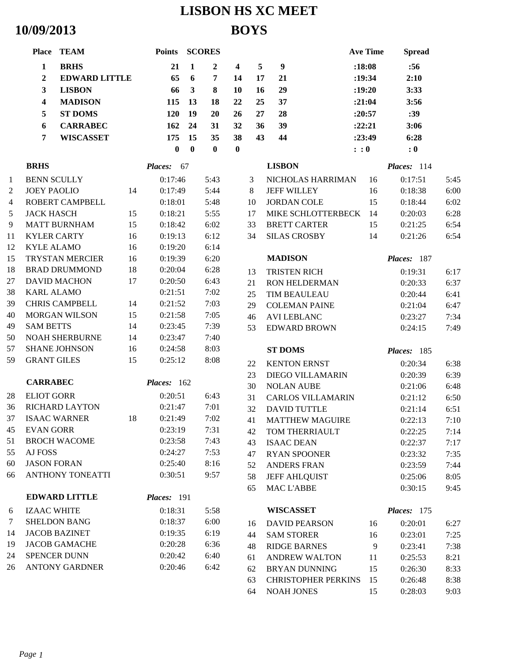# **LISBON HS XC MEET 10/09/2013 BOYS**

|    | Place TEAM                         |                      | Points SCORES  |              |                |                         |    |                            | <b>Ave Time</b> | <b>Spread</b> |      |
|----|------------------------------------|----------------------|----------------|--------------|----------------|-------------------------|----|----------------------------|-----------------|---------------|------|
|    | $\mathbf{1}$<br><b>BRHS</b>        |                      | 21             | $\mathbf{1}$ | $\overline{2}$ | $\overline{\mathbf{4}}$ | 5  | $\boldsymbol{9}$           | :18:08          | :56           |      |
|    | $\boldsymbol{2}$                   | <b>EDWARD LITTLE</b> | 65             | 6            | $\overline{7}$ | 14                      | 17 | 21                         | :19:34          | 2:10          |      |
|    | $\mathbf{3}$<br><b>LISBON</b>      |                      | 66             | $\mathbf{3}$ | 8              | 10                      | 16 | 29                         | :19:20          | 3:33          |      |
|    | $\boldsymbol{4}$<br><b>MADISON</b> |                      | 115            | 13           | 18             | 22                      | 25 | 37                         | :21:04          | 3:56          |      |
|    | 5<br><b>ST DOMS</b>                |                      | 120            | 19           | 20             | 26                      | 27 | 28                         | :20:57          | :39           |      |
|    | $\boldsymbol{6}$                   | <b>CARRABEC</b>      | 162            | 24           | 31             | 32                      | 36 | 39                         | :22:21          | 3:06          |      |
|    | 7                                  | <b>WISCASSET</b>     | 175            | 15           | 35             | 38                      | 43 | 44                         | : 23:49         | 6:28          |      |
|    |                                    |                      | $\bf{0}$       | $\mathbf{0}$ | $\bf{0}$       | $\bf{0}$                |    |                            | : 0             | : 0           |      |
|    | <b>BRHS</b>                        |                      | <b>Places:</b> | 67           |                |                         |    | <b>LISBON</b>              |                 | Places: 114   |      |
| 1  | <b>BENN SCULLY</b>                 |                      | 0:17:46        |              | 5:43           |                         | 3  | NICHOLAS HARRIMAN          | 16              | 0:17:51       | 5:45 |
| 2  | <b>JOEY PAOLIO</b>                 | 14                   | 0:17:49        |              | 5:44           |                         | 8  | <b>JEFF WILLEY</b>         | 16              | 0:18:38       | 6:00 |
| 4  | ROBERT CAMPBELL                    |                      | 0:18:01        |              | 5:48           |                         | 10 | <b>JORDAN COLE</b>         | 15              | 0:18:44       | 6:02 |
| 5  | <b>JACK HASCH</b>                  | 15                   | 0:18:21        |              | 5:55           |                         | 17 | MIKE SCHLOTTERBECK 14      |                 | 0:20:03       | 6:28 |
| 9  | <b>MATT BURNHAM</b>                | 15                   | 0:18:42        |              | 6:02           |                         | 33 | <b>BRETT CARTER</b>        | 15              | 0:21:25       | 6:54 |
| 11 | <b>KYLER CARTY</b>                 | 16                   | 0:19:13        |              | 6:12           |                         | 34 | <b>SILAS CROSBY</b>        | 14              | 0:21:26       | 6:54 |
| 12 | <b>KYLE ALAMO</b>                  | 16                   | 0:19:20        |              | 6:14           |                         |    |                            |                 |               |      |
| 15 | <b>TRYSTAN MERCIER</b>             | 16                   | 0:19:39        |              | 6:20           |                         |    | <b>MADISON</b>             |                 | Places: 187   |      |
| 18 | <b>BRAD DRUMMOND</b>               | 18                   | 0:20:04        |              | 6:28           |                         | 13 | TRISTEN RICH               |                 | 0:19:31       | 6:17 |
| 27 | <b>DAVID MACHON</b>                | 17                   | 0:20:50        |              | 6:43           |                         | 21 | <b>RON HELDERMAN</b>       |                 | 0:20:33       | 6:37 |
| 38 | <b>KARL ALAMO</b>                  |                      | 0:21:51        |              | 7:02           |                         | 25 | TIM BEAULEAU               |                 | 0:20:44       | 6:41 |
| 39 | <b>CHRIS CAMPBELL</b>              | 14                   | 0:21:52        |              | 7:03           |                         | 29 | <b>COLEMAN PAINE</b>       |                 | 0:21:04       | 6:47 |
| 40 | <b>MORGAN WILSON</b>               | 15                   | 0:21:58        |              | 7:05           |                         | 46 | <b>AVI LEBLANC</b>         |                 | 0:23:27       | 7:34 |
| 49 | <b>SAM BETTS</b>                   | 14                   | 0:23:45        |              | 7:39           |                         | 53 | <b>EDWARD BROWN</b>        |                 | 0:24:15       | 7:49 |
| 50 | <b>NOAH SHERBURNE</b>              | 14                   | 0:23:47        |              | 7:40           |                         |    |                            |                 |               |      |
| 57 | <b>SHANE JOHNSON</b>               | 16                   | 0:24:58        |              | 8:03           |                         |    | <b>ST DOMS</b>             |                 | Places: 185   |      |
| 59 | <b>GRANT GILES</b>                 | 15                   | 0:25:12        |              | 8:08           |                         | 22 | <b>KENTON ERNST</b>        |                 | 0:20:34       | 6:38 |
|    |                                    |                      |                |              |                |                         | 23 | <b>DIEGO VILLAMARIN</b>    |                 | 0:20:39       | 6:39 |
|    | <b>CARRABEC</b>                    |                      | Places: 162    |              |                |                         | 30 | <b>NOLAN AUBE</b>          |                 | 0:21:06       | 6:48 |
| 28 | <b>ELIOT GORR</b>                  |                      | 0:20:51        |              | 6:43           |                         | 31 | <b>CARLOS VILLAMARIN</b>   |                 | 0:21:12       | 6:50 |
| 36 | <b>RICHARD LAYTON</b>              |                      | 0:21:47        |              | 7:01           |                         | 32 | <b>DAVID TUTTLE</b>        |                 | 0:21:14       | 6:51 |
| 37 | <b>ISAAC WARNER</b>                |                      | 18 0:21:49     |              | 7:02           |                         | 41 | <b>MATTHEW MAGUIRE</b>     |                 | 0:22:13       | 7:10 |
| 45 | <b>EVAN GORR</b>                   |                      | 0:23:19        |              | 7:31           |                         | 42 | TOM THERRIAULT             |                 | 0:22:25       | 7:14 |
| 51 | <b>BROCH WACOME</b>                |                      | 0:23:58        |              | 7:43           |                         | 43 | <b>ISAAC DEAN</b>          |                 | 0:22:37       | 7:17 |
| 55 | AJ FOSS                            |                      | 0:24:27        |              | 7:53           |                         | 47 | <b>RYAN SPOONER</b>        |                 | 0:23:32       | 7:35 |
| 60 | <b>JASON FORAN</b>                 |                      | 0:25:40        |              | 8:16           |                         | 52 | <b>ANDERS FRAN</b>         |                 | 0:23:59       | 7:44 |
| 66 | ANTHONY TONEATTI                   |                      | 0:30:51        |              | 9:57           |                         | 58 | <b>JEFF AHLQUIST</b>       |                 | 0:25:06       | 8:05 |
|    | <b>EDWARD LITTLE</b>               |                      | Places: 191    |              |                |                         | 65 | <b>MAC L'ABBE</b>          |                 | 0:30:15       | 9:45 |
|    |                                    |                      |                |              |                |                         |    |                            |                 |               |      |
| 6  | <b>IZAAC WHITE</b>                 |                      | 0:18:31        |              | 5:58           |                         |    | <b>WISCASSET</b>           |                 | Places: 175   |      |
| 7  | <b>SHELDON BANG</b>                |                      | 0:18:37        |              | 6:00           |                         | 16 | <b>DAVID PEARSON</b>       | 16              | 0:20:01       | 6:27 |
| 14 | <b>JACOB BAZINET</b>               |                      | 0:19:35        |              | 6:19           |                         | 44 | <b>SAM STORER</b>          | 16              | 0:23:01       | 7:25 |
| 19 | <b>JACOB GAMACHE</b>               |                      | 0:20:28        |              | 6:36           |                         | 48 | <b>RIDGE BARNES</b>        | 9               | 0:23:41       | 7:38 |
| 24 | SPENCER DUNN                       |                      | 0:20:42        |              | 6:40           |                         | 61 | <b>ANDREW WALTON</b>       | 11              | 0:25:53       | 8:21 |
| 26 | <b>ANTONY GARDNER</b>              |                      | 0:20:46        |              | 6:42           |                         | 62 | <b>BRYAN DUNNING</b>       | 15              | 0:26:30       | 8:33 |
|    |                                    |                      |                |              |                |                         | 63 | <b>CHRISTOPHER PERKINS</b> | 15              | 0:26:48       | 8:38 |
|    |                                    |                      |                |              |                |                         | 64 | <b>NOAH JONES</b>          | 15              | 0:28:03       | 9:03 |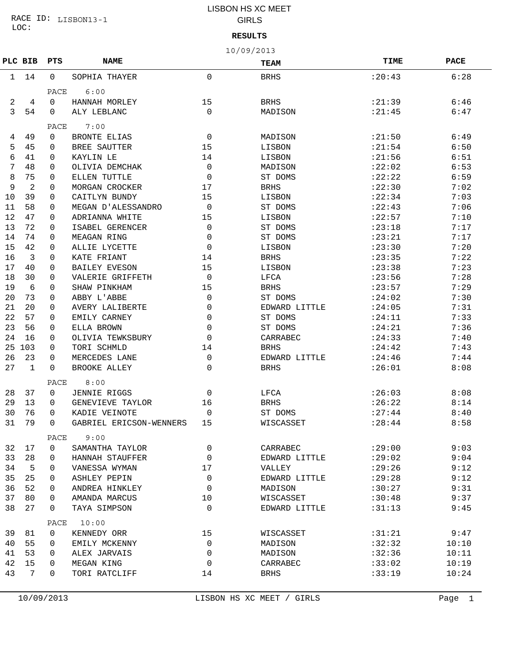LOC: RACE ID: LISBON13-1

## LISBON HS XC MEET GIRLS

**RESULTS**

|  | - - - - - |  |
|--|-----------|--|
|  |           |  |
|  |           |  |
|  |           |  |
|  |           |  |
|  |           |  |
|  |           |  |
|  |           |  |
|  |           |  |
|  |           |  |
|  |           |  |
|  |           |  |
|  |           |  |

|    | 10/09/2013   |      |                         |              |               |         |             |  |  |  |
|----|--------------|------|-------------------------|--------------|---------------|---------|-------------|--|--|--|
|    | PLC BIB      | PTS  | <b>NAME</b>             |              | TEAM          | TIME    | <b>PACE</b> |  |  |  |
| 1  | 14           | 0    | SOPHIA THAYER           | $\mathbf 0$  | <b>BRHS</b>   | : 20:43 | 6:28        |  |  |  |
|    |              | PACE | 6:00                    |              |               |         |             |  |  |  |
| 2  | 4            | 0    | HANNAH MORLEY           | 15           | <b>BRHS</b>   | : 21:39 | 6:46        |  |  |  |
| 3  | 54           | 0    | ALY LEBLANC             | $\Omega$     | MADISON       | : 21:45 | 6:47        |  |  |  |
|    |              | PACE | 7:00                    |              |               |         |             |  |  |  |
| 4  | 49           | 0    | <b>BRONTE ELIAS</b>     | 0            | MADISON       | : 21:50 | 6:49        |  |  |  |
| 5  | 45           | 0    | BREE SAUTTER            | 15           | LISBON        | : 21:54 | 6:50        |  |  |  |
| 6  | 41           | 0    | KAYLIN LE               | 14           | LISBON        | : 21:56 | 6:51        |  |  |  |
| 7  | 48           | 0    | OLIVIA DEMCHAK          | $\mathbf 0$  | MADISON       | : 22:02 | 6:53        |  |  |  |
| 8  | 75           | 0    | ELLEN TUTTLE            | $\mathbf 0$  | ST DOMS       | : 22:22 | 6:59        |  |  |  |
| 9  | 2            | 0    | MORGAN CROCKER          | 17           | <b>BRHS</b>   | : 22:30 | 7:02        |  |  |  |
| 10 | 39           | 0    | CAITLYN BUNDY           | 15           | LISBON        | : 22:34 | 7:03        |  |  |  |
| 11 | 58           | 0    | MEGAN D'ALESSANDRO      | 0            | ST DOMS       | : 22:43 | 7:06        |  |  |  |
| 12 | 47           | 0    | ADRIANNA WHITE          | 15           | LISBON        | : 22:57 | 7:10        |  |  |  |
| 13 | 72           | 0    | ISABEL GERENCER         | $\mathbf 0$  | ST DOMS       | : 23:18 | 7:17        |  |  |  |
| 14 | 74           | 0    | MEAGAN RING             | 0            | ST DOMS       | : 23:21 | 7:17        |  |  |  |
| 15 | 42           | 0    | ALLIE LYCETTE           | 0            | LISBON        | : 23:30 | 7:20        |  |  |  |
| 16 | 3            | 0    | KATE FRIANT             | 14           | <b>BRHS</b>   | : 23:35 | 7:22        |  |  |  |
| 17 | 40           | 0    | <b>BAILEY EVESON</b>    | 15           | LISBON        | : 23:38 | 7:23        |  |  |  |
| 18 | 30           | 0    | VALERIE GRIFFETH        | $\mathbf 0$  | LFCA          | : 23:56 | 7:28        |  |  |  |
| 19 | 6            | 0    | SHAW PINKHAM            | 15           | <b>BRHS</b>   | : 23:57 | 7:29        |  |  |  |
| 20 | 73           | 0    | ABBY L'ABBE             | $\mathbf 0$  | ST DOMS       | : 24:02 | 7:30        |  |  |  |
| 21 | 20           | 0    | AVERY LALIBERTE         | 0            | EDWARD LITTLE | : 24:05 | 7:31        |  |  |  |
| 22 | 57           | 0    | EMILY CARNEY            | 0            | ST DOMS       | : 24:11 | 7:33        |  |  |  |
| 23 | 56           | 0    | ELLA BROWN              | 0            | ST DOMS       | : 24:21 | 7:36        |  |  |  |
| 24 | 16           | 0    | OLIVIA TEWKSBURY        | 0            | CARRABEC      | : 24:33 | 7:40        |  |  |  |
| 25 | 103          | 0    | TORI SCHMLD             | 14           | <b>BRHS</b>   | : 24:42 | 7:43        |  |  |  |
| 26 | 23           | 0    | MERCEDES LANE           | 0            | EDWARD LITTLE | : 24:46 | 7:44        |  |  |  |
| 27 | $\mathbf{1}$ | 0    | <b>BROOKE ALLEY</b>     | $\Omega$     | <b>BRHS</b>   | : 26:01 | 8:08        |  |  |  |
|    |              | PACE | 8:00                    |              |               |         |             |  |  |  |
| 28 | 37           | 0    | JENNIE RIGGS            | 0            | LFCA          | : 26:03 | 8:08        |  |  |  |
| 29 | 13           | 0    | GENEVIEVE TAYLOR        | 16           | <b>BRHS</b>   | : 26:22 | 8:14        |  |  |  |
| 30 | 76           | 0    | KADIE VEINOTE           | 0            | ST DOMS       | : 27:44 | 8:40        |  |  |  |
| 31 | 79           | 0    | GABRIEL ERICSON-WENNERS | 15           | WISCASSET     | : 28:44 | 8:58        |  |  |  |
|    |              | PACE | 9:00                    |              |               |         |             |  |  |  |
| 32 | 17           | 0    | SAMANTHA TAYLOR         | $\mathbf{0}$ | CARRABEC      | :29:00  | 9:03        |  |  |  |
| 33 | 28           | 0    | HANNAH STAUFFER         | $\mathbf 0$  | EDWARD LITTLE | :29:02  | 9:04        |  |  |  |
| 34 | -5           | 0    | VANESSA WYMAN           | 17           | VALLEY        | : 29:26 | 9:12        |  |  |  |
| 35 | 25           | 0    | <b>ASHLEY PEPIN</b>     | $\mathbf 0$  | EDWARD LITTLE | :29:28  | 9:12        |  |  |  |
| 36 | 52           | 0    | ANDREA HINKLEY          | $\mathbf 0$  | MADISON       | :30:27  | 9:31        |  |  |  |
| 37 | 80           | 0    | AMANDA MARCUS           | 10           | WISCASSET     | :30:48  | 9:37        |  |  |  |
| 38 | 27           | 0    | TAYA SIMPSON            | $\Omega$     | EDWARD LITTLE | :31:13  | 9:45        |  |  |  |
|    |              | PACE | 10:00                   |              |               |         |             |  |  |  |
| 39 | 81           | 0    | KENNEDY ORR             | 15           | WISCASSET     | :31:21  | 9:47        |  |  |  |
| 40 | 55           | 0    | EMILY MCKENNY           | $\mathbf{0}$ | MADISON       | :32:32  | 10:10       |  |  |  |
| 41 | 53           | 0    | ALEX JARVAIS            | $\mathbf 0$  | MADISON       | :32:36  | 10:11       |  |  |  |
| 42 | 15           | 0    | MEGAN KING              | $\mathbf 0$  | CARRABEC      | :33:02  | 10:19       |  |  |  |
| 43 | 7            | 0    | TORI RATCLIFF           | 14           | BRHS          | :33:19  | 10:24       |  |  |  |
|    |              |      |                         |              |               |         |             |  |  |  |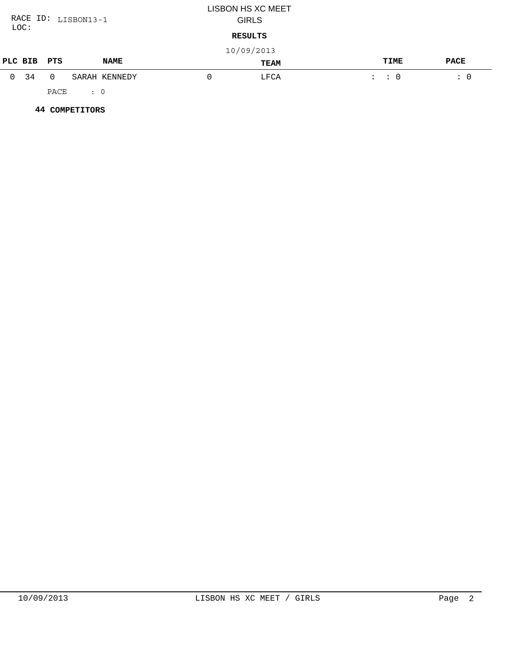| RACE ID: LISBON13-1 |              |          |            |               |          | <b>LISBON HS XC MEET</b><br><b>GIRLS</b> |                     |             |
|---------------------|--------------|----------|------------|---------------|----------|------------------------------------------|---------------------|-------------|
| LOC:<br>RESULTS     |              |          |            |               |          |                                          |                     |             |
|                     |              |          |            |               |          | 10/09/2013                               |                     |             |
|                     | PLC BIB      | PTS      |            | <b>NAME</b>   |          | TEAM                                     | TIME                | <b>PACE</b> |
|                     | $0 \quad 34$ | $\Omega$ |            | SARAH KENNEDY | $\Omega$ | LFCA                                     | $\colon$ $\colon$ 0 | $\colon 0$  |
|                     |              | PACE     | $\colon 0$ |               |          |                                          |                     |             |

 **44 COMPETITORS**